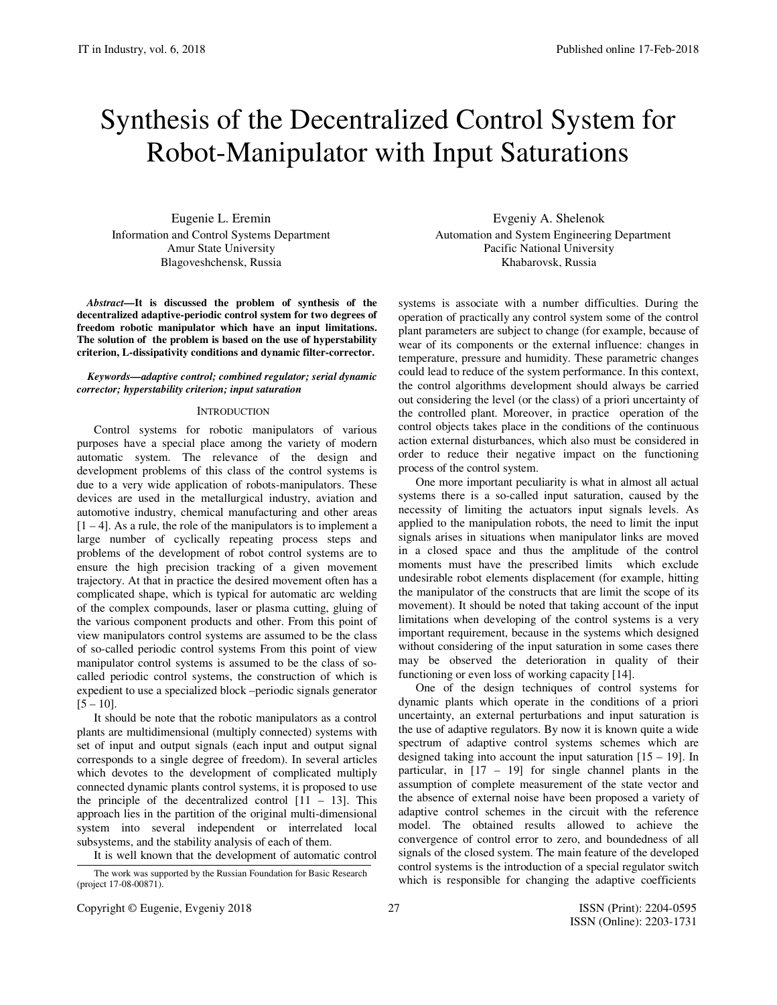# Synthesis of the Decentralized Control System for Robot-Manipulator with Input Saturations

Eugenie L. Eremin Information and Control Systems Department Amur State University Blagoveshchensk, Russia

*Abstract***—It is discussed the problem of synthesis of the decentralized adaptive-periodic control system for two degrees of freedom robotic manipulator which have an input limitations. The solution of the problem is based on the use of hyperstability criterion, L-dissipativity conditions and dynamic filter-corrector.** 

## *Keywords—adaptive control; combined regulator; serial dynamic corrector; hyperstability criterion; input saturation*

#### **INTRODUCTION**

Control systems for robotic manipulators of various purposes have a special place among the variety of modern automatic system. The relevance of the design and development problems of this class of the control systems is due to a very wide application of robots-manipulators. These devices are used in the metallurgical industry, aviation and automotive industry, chemical manufacturing and other areas  $[1 - 4]$ . As a rule, the role of the manipulators is to implement a large number of cyclically repeating process steps and problems of the development of robot control systems are to ensure the high precision tracking of a given movement trajectory. At that in practice the desired movement often has a complicated shape, which is typical for automatic arc welding of the complex compounds, laser or plasma cutting, gluing of the various component products and other. From this point of view manipulators control systems are assumed to be the class of so-called periodic control systems From this point of view manipulator control systems is assumed to be the class of socalled periodic control systems, the construction of which is expedient to use a specialized block –periodic signals generator  $[5 - 10]$ .

It should be note that the robotic manipulators as a control plants are multidimensional (multiply connected) systems with set of input and output signals (each input and output signal corresponds to a single degree of freedom). In several articles which devotes to the development of complicated multiply connected dynamic plants control systems, it is proposed to use the principle of the decentralized control  $[11 - 13]$ . This approach lies in the partition of the original multi-dimensional system into several independent or interrelated local subsystems, and the stability analysis of each of them. It is well known that the development of automatic control

(project 17-08-00871).

Evgeniy A. Shelenok Automation and System Engineering Department Pacific National University Khabarovsk, Russia

systems is associate with a number difficulties. During the operation of practically any control system some of the control plant parameters are subject to change (for example, because of wear of its components or the external influence: changes in temperature, pressure and humidity. These parametric changes could lead to reduce of the system performance. In this context, the control algorithms development should always be carried out considering the level (or the class) of a priori uncertainty of the controlled plant. Moreover, in practice operation of the control objects takes place in the conditions of the continuous action external disturbances, which also must be considered in order to reduce their negative impact on the functioning process of the control system.

One more important peculiarity is what in almost all actual systems there is a so-called input saturation, caused by the necessity of limiting the actuators input signals levels. As applied to the manipulation robots, the need to limit the input signals arises in situations when manipulator links are moved in a closed space and thus the amplitude of the control moments must have the prescribed limits which exclude undesirable robot elements displacement (for example, hitting the manipulator of the constructs that are limit the scope of its movement). It should be noted that taking account of the input limitations when developing of the control systems is a very important requirement, because in the systems which designed without considering of the input saturation in some cases there may be observed the deterioration in quality of their functioning or even loss of working capacity [14].

One of the design techniques of control systems for dynamic plants which operate in the conditions of a priori uncertainty, an external perturbations and input saturation is the use of adaptive regulators. By now it is known quite a wide spectrum of adaptive control systems schemes which are designed taking into account the input saturation [15 – 19]. In particular, in [17 – 19] for single channel plants in the assumption of complete measurement of the state vector and the absence of external noise have been proposed a variety of adaptive control schemes in the circuit with the reference model. The obtained results allowed to achieve the convergence of control error to zero, and boundedness of all signals of the closed system. The main feature of the developed control systems is the introduction of a special regulator switch The work was supported by the Russian Foundation for Basic Research<br>The which is responsible for changing the adaptive coefficients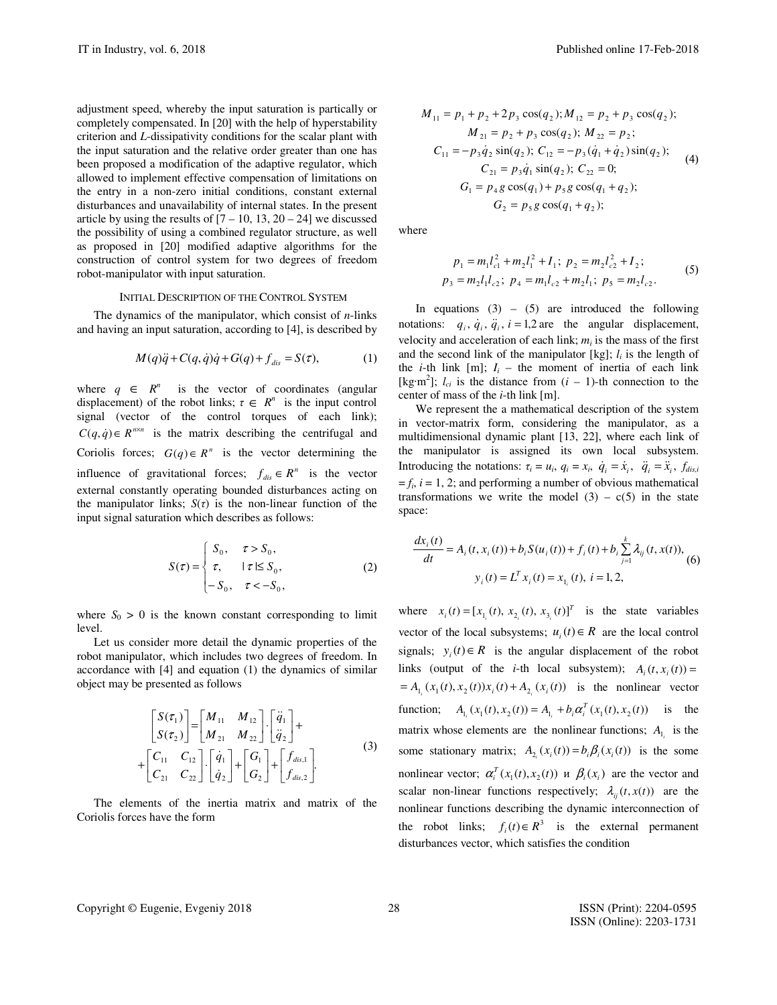adjustment speed, whereby the input saturation is partically or completely compensated. In [20] with the help of hyperstability criterion and *L*-dissipativity conditions for the scalar plant with the input saturation and the relative order greater than one has been proposed a modification of the adaptive regulator, which allowed to implement effective compensation of limitations on the entry in a non-zero initial conditions, constant external disturbances and unavailability of internal states. In the present article by using the results of  $[7 - 10, 13, 20 - 24]$  we discussed the possibility of using a combined regulator structure, as well as proposed in [20] modified adaptive algorithms for the construction of control system for two degrees of freedom robot-manipulator with input saturation.

## INITIAL DESCRIPTION OF THE CONTROL SYSTEM

The dynamics of the manipulator, which consist of *n*-links and having an input saturation, according to [4], is described by

$$
M(q)\ddot{q} + C(q,\dot{q})\dot{q} + G(q) + f_{dis} = S(\tau),
$$
 (1)

where  $q \in R^n$  is the vector of coordinates (angular displacement) of the robot links;  $\tau \in R^n$  is the input control signal (vector of the control torques of each link);  $C(q, \dot{q}) \in R^{n \times n}$  is the matrix describing the centrifugal and Coriolis forces;  $G(q) \in R^n$  is the vector determining the influence of gravitational forces;  $f_{dis} \in R^n$  is the vector external constantly operating bounded disturbances acting on the manipulator links;  $S(\tau)$  is the non-linear function of the input signal saturation which describes as follows:

$$
S(\tau) = \begin{cases} S_0, & \tau > S_0, \\ \tau, & |\tau| \le S_0, \\ -S_0, & \tau < -S_0, \end{cases}
$$
 (2)

where  $S_0 > 0$  is the known constant corresponding to limit level.

Let us consider more detail the dynamic properties of the robot manipulator, which includes two degrees of freedom. In accordance with [4] and equation (1) the dynamics of similar object may be presented as follows

$$
\begin{bmatrix} S(\tau_1) \\ S(\tau_2) \end{bmatrix} = \begin{bmatrix} M_{11} & M_{12} \\ M_{21} & M_{22} \end{bmatrix} \cdot \begin{bmatrix} \ddot{q}_1 \\ \ddot{q}_2 \end{bmatrix} + + \begin{bmatrix} C_{11} & C_{12} \\ C_{21} & C_{22} \end{bmatrix} \cdot \begin{bmatrix} \dot{q}_1 \\ \dot{q}_2 \end{bmatrix} + \begin{bmatrix} G_1 \\ G_2 \end{bmatrix} + \begin{bmatrix} f_{dis,1} \\ f_{dis,2} \end{bmatrix}.
$$
 (3)

The elements of the inertia matrix and matrix of the Coriolis forces have the form

$$
M_{11} = p_1 + p_2 + 2p_3 \cos(q_2); M_{12} = p_2 + p_3 \cos(q_2);
$$
  
\n
$$
M_{21} = p_2 + p_3 \cos(q_2); M_{22} = p_2;
$$
  
\n
$$
C_{11} = -p_3 \dot{q}_2 \sin(q_2); C_{12} = -p_3(\dot{q}_1 + \dot{q}_2) \sin(q_2);
$$
  
\n
$$
C_{21} = p_3 \dot{q}_1 \sin(q_2); C_{22} = 0;
$$
  
\n
$$
G_1 = p_4 g \cos(q_1) + p_5 g \cos(q_1 + q_2);
$$
  
\n
$$
G_2 = p_5 g \cos(q_1 + q_2);
$$

where

$$
p_1 = m_1 l_{c1}^2 + m_2 l_1^2 + I_1; \ p_2 = m_2 l_{c2}^2 + I_2; p_3 = m_2 l_1 l_{c2}; \ p_4 = m_1 l_{c2} + m_2 l_1; \ p_5 = m_2 l_{c2}.
$$
 (5)

In equations  $(3)$  –  $(5)$  are introduced the following notations:  $q_i$ ,  $\dot{q}_i$ ,  $\ddot{q}_i$ ,  $i = 1,2$  are the angular displacement, velocity and acceleration of each link;  $m_i$  is the mass of the first and the second link of the manipulator [kg];  $l_i$  is the length of the *i*-th link [m];  $I_i$  – the moment of inertia of each link [kg·m<sup>2</sup>];  $l_{ci}$  is the distance from  $(i - 1)$ -th connection to the center of mass of the *i*-th link [m].

We represent the a mathematical description of the system in vector-matrix form, considering the manipulator, as a multidimensional dynamic plant [13, 22], where each link of the manipulator is assigned its own local subsystem. Introducing the notations:  $\tau_i = u_i$ ,  $q_i = x_i$ ,  $\dot{q}_i = \dot{x}_i$ ,  $\ddot{q}_i = \ddot{x}_i$ ,  $f_{dis,i}$  $=f_i$ ,  $i = 1, 2$ ; and performing a number of obvious mathematical transformations we write the model  $(3) - c(5)$  in the state space:

$$
\frac{dx_i(t)}{dt} = A_i(t, x_i(t)) + b_i S(u_i(t)) + f_i(t) + b_i \sum_{j=1}^k \lambda_{ij}(t, x(t)),
$$
  
\n
$$
y_i(t) = L^T x_i(t) = x_{1_i}(t), i = 1, 2,
$$
 (6)

where  $x_i(t) = [x_{1_i}(t), x_{2_i}(t), x_{3_i}(t)]^T$  is the state variables vector of the local subsystems;  $u_i(t) \in R$  are the local control signals;  $y_i(t) \in R$  is the angular displacement of the robot links (output of the *i*-th local subsystem);  $A_i(t, x_i(t)) =$  $=A_{1_i}(x_1(t), x_2(t))x_i(t) + A_{2_i}(x_i(t))$  is the nonlinear vector function;  $A_{1_i}(x_1(t),x_2(t)) = A_{1_i} + b_i \alpha_i^T(x_1(t),x_2(t))$  is the matrix whose elements are the nonlinear functions;  $A_{1_i}$  is the some stationary matrix;  $A_{2_i}(x_i(t)) = b_i \beta_i(x_i(t))$  is the some nonlinear vector;  $\alpha_i^T(x_1(t), x_2(t))$  *n*  $\beta_i(x_i)$  are the vector and scalar non-linear functions respectively;  $\lambda_{ii}(t, x(t))$  are the nonlinear functions describing the dynamic interconnection of the robot links;  $f_i(t) \in R^3$  is the external permanent disturbances vector, which satisfies the condition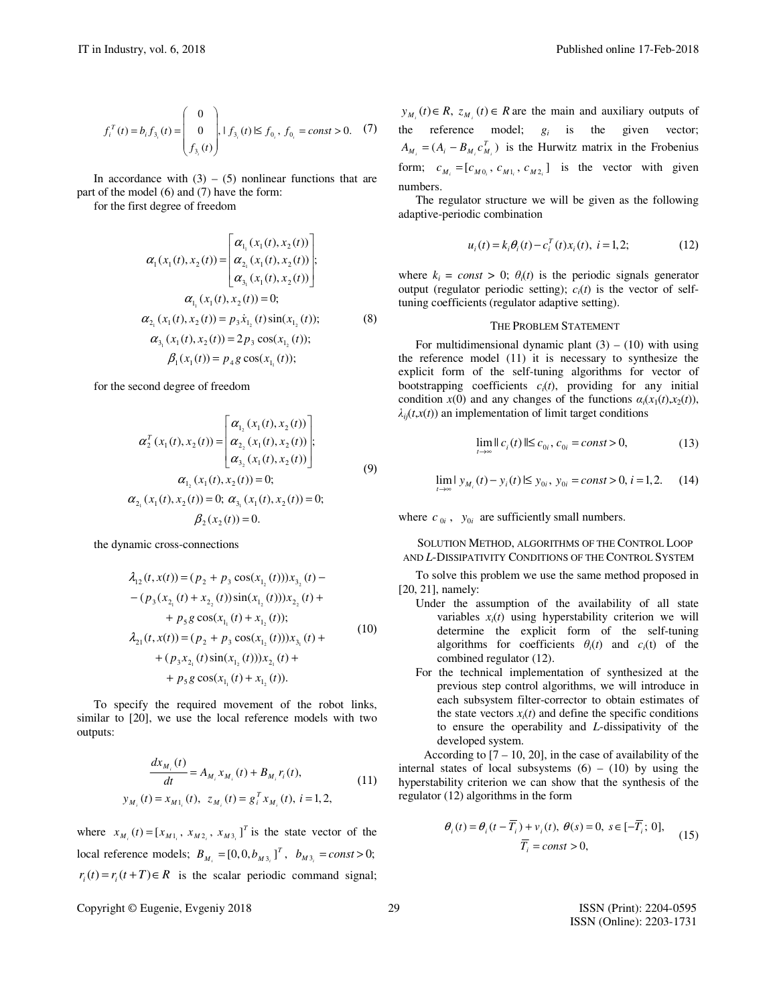$$
f_i^T(t) = b_i f_{3_i}(t) = \begin{pmatrix} 0 \\ 0 \\ f_{3_i}(t) \end{pmatrix}, 1 f_{3_i}(t) \le f_{0_i}, f_{0_i} = const > 0.
$$
 (7)

In accordance with  $(3) - (5)$  nonlinear functions that are part of the model (6) and (7) have the form:

for the first degree of freedom

$$
\alpha_1(x_1(t), x_2(t)) = \begin{bmatrix} \alpha_{1_1}(x_1(t), x_2(t)) \\ \alpha_{2_1}(x_1(t), x_2(t)) \\ \alpha_{3_1}(x_1(t), x_2(t)) \end{bmatrix};
$$
\n
$$
\alpha_{1_1}(x_1(t), x_2(t)) = 0;
$$
\n
$$
\alpha_{2_1}(x_1(t), x_2(t)) = p_3 \dot{x}_{1_2}(t) \sin(x_{1_2}(t));
$$
\n
$$
\alpha_{3_1}(x_1(t), x_2(t)) = 2p_3 \cos(x_{1_2}(t));
$$
\n
$$
\beta_1(x_1(t)) = p_4 g \cos(x_{1_1}(t));
$$
\n(8)

for the second degree of freedom

$$
\alpha_2^T(x_1(t), x_2(t)) = \begin{bmatrix} \alpha_{1_2}(x_1(t), x_2(t)) \\ \alpha_{2_2}(x_1(t), x_2(t)) \\ \alpha_{3_2}(x_1(t), x_2(t)) \end{bmatrix};
$$
\n
$$
\alpha_{1_2}(x_1(t), x_2(t)) = 0;
$$
\n
$$
\alpha_{2_1}(x_1(t), x_2(t)) = 0; \alpha_{3_1}(x_1(t), x_2(t)) = 0;
$$
\n
$$
\beta_2(x_2(t)) = 0.
$$
\n(9)

the dynamic cross-connections

$$
\lambda_{12}(t, x(t)) = (p_2 + p_3 \cos(x_{1_2}(t)))x_{3_2}(t) -
$$
  
\n
$$
-(p_3(x_{2_1}(t) + x_{2_2}(t))\sin(x_{1_2}(t)))x_{2_2}(t) +
$$
  
\n
$$
+ p_5 g \cos(x_{1_1}(t) + x_{1_2}(t));
$$
  
\n
$$
\lambda_{21}(t, x(t)) = (p_2 + p_3 \cos(x_{1_2}(t)))x_{3_1}(t) +
$$
  
\n
$$
+ (p_3x_{2_1}(t)\sin(x_{1_2}(t)))x_{2_1}(t) +
$$
  
\n
$$
+ p_5 g \cos(x_{1_1}(t) + x_{1_2}(t)).
$$
\n(10)

To specify the required movement of the robot links, similar to [20], we use the local reference models with two outputs:

$$
\frac{dx_{M_i}(t)}{dt} = A_{M_i} x_{M_i}(t) + B_{M_i} r_i(t),
$$
  
\n
$$
y_{M_i}(t) = x_{M1_i}(t), \ z_{M_i}(t) = g_i^T x_{M_i}(t), \ i = 1, 2,
$$
\n(11)

where  $x_{M_i}(t) = [x_{M1_i}, x_{M2_i}, x_{M3_i}]^T$  is the state vector of the local reference models;  $B_{M_i} = [0, 0, b_{M3_i}]^T$ ,  $b_{M3_i} = const > 0$ ;  $r_i(t) = r_i(t+T) \in R$  is the scalar periodic command signal;

Copyright © Eugenie, Evgeniy 2018 29 ISSN (Print): 2204-0595

*y*<sub>*M<sub>i</sub>*</sub>(*t*)∈ *R*,  $z_{M_i}$  (*t*)∈ *R* are the main and auxiliary outputs of the reference model;  $g_i$  is the given vector;  $A_{M_i} = (A_i - B_{M_i} c_{M_i}^T)$  is the Hurwitz matrix in the Frobenius form;  $c_{M_i} = [c_{M0_i}, c_{M1_i}, c_{M2_i}]$  is the vector with given numbers.

The regulator structure we will be given as the following adaptive-periodic combination

$$
u_i(t) = k_i \theta_i(t) - c_i^T(t) x_i(t), \ i = 1, 2; \tag{12}
$$

where  $k_i = const > 0$ ;  $\theta_i(t)$  is the periodic signals generator output (regulator periodic setting);  $c_i(t)$  is the vector of selftuning coefficients (regulator adaptive setting).

# THE PROBLEM STATEMENT

For multidimensional dynamic plant  $(3) - (10)$  with using the reference model (11) it is necessary to synthesize the explicit form of the self-tuning algorithms for vector of bootstrapping coefficients  $c_i(t)$ , providing for any initial condition  $x(0)$  and any changes of the functions  $\alpha_i(x_1(t), x_2(t))$ ,  $\lambda$ <sup>*ij*(*t*,*x*(*t*)) an implementation of limit target conditions</sup>

$$
\lim_{t \to \infty} ||c_i(t)|| \le c_{0i}, \, c_{0i} = const > 0,\tag{13}
$$

$$
\lim_{t \to \infty} | y_{M_i}(t) - y_i(t) | \le y_{0i}, \ y_{0i} = const > 0, \ i = 1, 2. \tag{14}
$$

where  $c_{0i}$ ,  $y_{0i}$  are sufficiently small numbers.

*t*

SOLUTION METHOD, ALGORITHMS OF THE CONTROL LOOP AND *L*-DISSIPATIVITY CONDITIONS OF THE CONTROL SYSTEM

To solve this problem we use the same method proposed in [20, 21], namely:

- Under the assumption of the availability of all state variables  $x_i(t)$  using hyperstability criterion we will determine the explicit form of the self-tuning algorithms for coefficients  $\theta_i(t)$  and  $c_i(t)$  of the combined regulator (12).
- For the technical implementation of synthesized at the previous step control algorithms, we will introduce in each subsystem filter-corrector to obtain estimates of the state vectors  $x_i(t)$  and define the specific conditions to ensure the operability and *L*-dissipativity of the developed system.

According to  $[7 - 10, 20]$ , in the case of availability of the internal states of local subsystems  $(6) - (10)$  by using the hyperstability criterion we can show that the synthesis of the regulator (12) algorithms in the form

$$
\theta_i(t) = \theta_i(t - \overline{T}_i) + v_i(t), \ \theta(s) = 0, \ s \in [-\overline{T}_i; \ 0],
$$
  

$$
\overline{T}_i = const > 0,
$$
 (15)

ISSN (Online): 2203-1731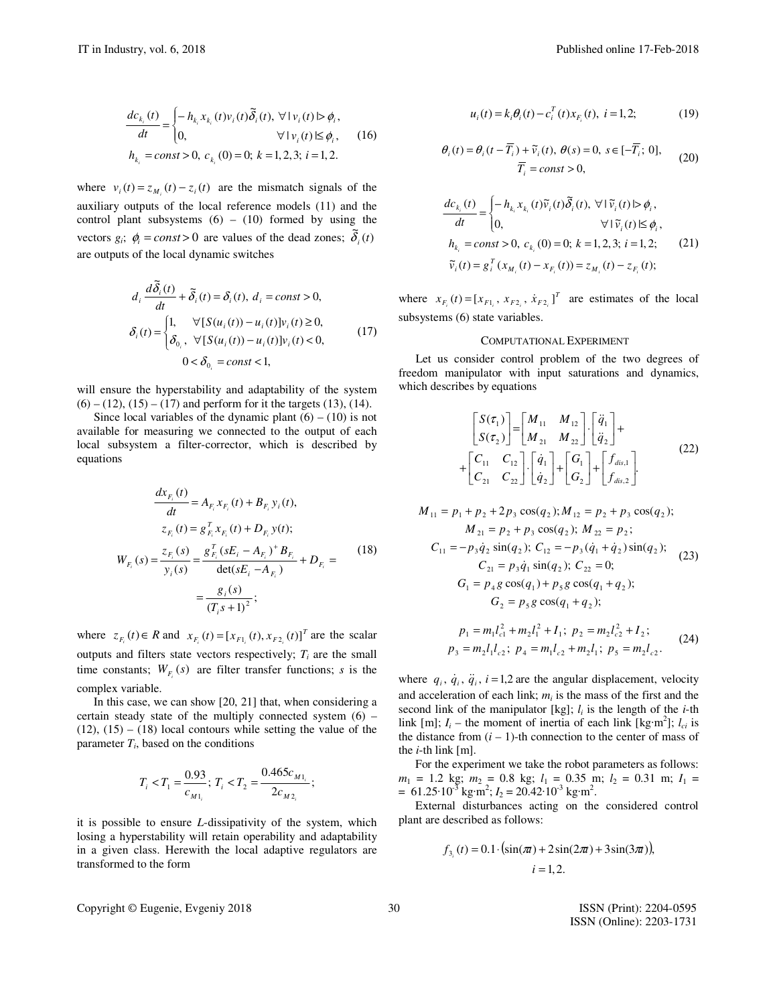$$
\frac{dc_{k_i}(t)}{dt} = \begin{cases} -h_{k_i}x_{k_i}(t)v_i(t)\tilde{\delta}_i(t), \forall \, |v_i(t) \triangleright \phi_i, \\ 0, & \forall \, |v_i(t) \le \phi_i, \\ h_{k_i} = const > 0, \, c_{k_i}(0) = 0; \, k = 1, 2, 3; \, i = 1, 2. \end{cases} \tag{16}
$$

where  $v_i(t) = z_{M_i}(t) - z_i(t)$  are the mismatch signals of the auxiliary outputs of the local reference models (11) and the control plant subsystems  $(6) - (10)$  formed by using the vectors  $g_i$ ;  $\phi_i = const > 0$  are values of the dead zones;  $\tilde{\delta}_i(t)$ are outputs of the local dynamic switches

$$
d_i \frac{d\tilde{\delta}_i(t)}{dt} + \tilde{\delta}_i(t) = \delta_i(t), d_i = const > 0,
$$
  

$$
\delta_i(t) = \begin{cases} 1, & \forall [S(u_i(t)) - u_i(t)]v_i(t) \ge 0, \\ \delta_{0_i}, & \forall [S(u_i(t)) - u_i(t)]v_i(t) < 0, \\ 0 < \delta_{0_i} = const < 1, \end{cases}
$$
(17)

will ensure the hyperstability and adaptability of the system  $(6) - (12)$ ,  $(15) - (17)$  and perform for it the targets  $(13)$ ,  $(14)$ .

Since local variables of the dynamic plant  $(6) - (10)$  is not available for measuring we connected to the output of each local subsystem a filter-corrector, which is described by equations

$$
\frac{dx_{F_i}(t)}{dt} = A_{F_i} x_{F_i}(t) + B_{F_i} y_i(t),
$$
  
\n
$$
z_{F_i}(t) = g_{F_i}^T x_{F_i}(t) + D_{F_i} y(t);
$$
  
\n
$$
W_{F_i}(s) = \frac{z_{F_i}(s)}{y_i(s)} = \frac{g_{F_i}^T (sE_i - A_{F_i})^+ B_{F_i}}{\det(sE_i - A_{F_i})} + D_{F_i} = \frac{g_i(s)}{(T_i s + 1)^2};
$$
\n(18)

where  $z_{F_i}(t) \in R$  and  $x_{F_i}(t) = [x_{F1_i}(t), x_{F2_i}(t)]^T$  are the scalar outputs and filters state vectors respectively;  $T_i$  are the small time constants;  $W_{F_i}(s)$  are filter transfer functions; *s* is the complex variable.

In this case, we can show [20, 21] that, when considering a certain steady state of the multiply connected system  $(6)$  –  $(12)$ ,  $(15) - (18)$  local contours while setting the value of the parameter *T<sup>i</sup>* , based on the conditions

$$
T_i < T_1 = \frac{0.93}{c_{M1_i}}; \ T_i < T_2 = \frac{0.465 c_{M1_i}}{2 c_{M2_i}};
$$

it is possible to ensure *L*-dissipativity of the system, which losing a hyperstability will retain operability and adaptability in a given class. Herewith the local adaptive regulators are transformed to the form

Copyright © Eugenie, Evgeniy 2018 30 ISSN (Print): 2204-0595

$$
f_{\rm{max}}
$$

$$
\theta_i(t) = \theta_i(t - \overline{T}_i) + \tilde{v}_i(t), \ \theta(s) = 0, \ s \in [-\overline{T}_i; \ 0],
$$
  

$$
\overline{T}_i = const > 0,
$$
 (20)

 $u_i(t) = k_i \theta_i(t) - c_i^T(t)x_{F_i}(t), i = 1,2;$ 

$$
\frac{dc_{k_i}(t)}{dt} = \begin{cases} -h_{k_i}x_{k_i}(t)\tilde{v}_i(t)\tilde{\delta}_i(t), \forall |\tilde{v}_i(t)| > \phi_i, \\ 0, \qquad \forall |\tilde{v}_i(t) \le \phi_i, \\ h_{k_i} = const > 0, \ c_{k_i}(0) = 0; \ k = 1, 2, 3; \ i = 1, 2; \qquad (21) \\ \tilde{v}_i(t) = g_i^T(x_{M_i}(t) - x_{F_i}(t)) = z_{M_i}(t) - z_{F_i}(t); \end{cases}
$$

where  $x_{F_i}(t) = [x_{F1_i}, x_{F2_i}, x_{F2_i}]^T$  are estimates of the local subsystems (6) state variables.

### COMPUTATIONAL EXPERIMENT

Let us consider control problem of the two degrees of freedom manipulator with input saturations and dynamics, which describes by equations

$$
\begin{bmatrix} S(\tau_1) \\ S(\tau_2) \end{bmatrix} = \begin{bmatrix} M_{11} & M_{12} \\ M_{21} & M_{22} \end{bmatrix} \cdot \begin{bmatrix} \ddot{q}_1 \\ \ddot{q}_2 \end{bmatrix} + + \begin{bmatrix} C_{11} & C_{12} \\ C_{21} & C_{22} \end{bmatrix} \cdot \begin{bmatrix} \dot{q}_1 \\ \dot{q}_2 \end{bmatrix} + \begin{bmatrix} G_1 \\ G_2 \end{bmatrix} + \begin{bmatrix} f_{dis,1} \\ f_{dis,2} \end{bmatrix}.
$$
 (22)

$$
M_{11} = p_1 + p_2 + 2p_3 \cos(q_2); M_{12} = p_2 + p_3 \cos(q_2);
$$
  
\n
$$
M_{21} = p_2 + p_3 \cos(q_2); M_{22} = p_2;
$$
  
\n
$$
C_{11} = -p_3 \dot{q}_2 \sin(q_2); C_{12} = -p_3(\dot{q}_1 + \dot{q}_2) \sin(q_2);
$$
  
\n
$$
C_{21} = p_3 \dot{q}_1 \sin(q_2); C_{22} = 0;
$$
  
\n
$$
G_1 = p_4 g \cos(q_1) + p_5 g \cos(q_1 + q_2);
$$
  
\n
$$
G_2 = p_5 g \cos(q_1 + q_2);
$$
  
\n
$$
p_1 = m l^2 + m l^2 + l \sin(q_2) + l \sin(q_2) + l \sin(q_2)
$$

$$
p_1 = m_1 l_{c1}^2 + m_2 l_1^2 + I_1; \ p_2 = m_2 l_{c2}^2 + I_2; p_3 = m_2 l_1 l_{c2}; \ p_4 = m_1 l_{c2} + m_2 l_1; \ p_5 = m_2 l_{c2}.
$$
 (24)

where  $q_i$ ,  $\dot{q}_i$ ,  $\ddot{q}_i$ ,  $i = 1,2$  are the angular displacement, velocity and acceleration of each link;  $m_i$  is the mass of the first and the second link of the manipulator  $[kg]$ ;  $l_i$  is the length of the *i*-th link [m];  $I_i$  – the moment of inertia of each link [kg·m<sup>2</sup>];  $I_{ci}$  is the distance from  $(i - 1)$ -th connection to the center of mass of the *i*-th link [m].

For the experiment we take the robot parameters as follows:  $m_1 = 1.2$  kg;  $m_2 = 0.8$  kg;  $l_1 = 0.35$  m;  $l_2 = 0.31$  m;  $I_1 =$  $= 61.25 \cdot 10^{-3}$  kg·m<sup>2</sup>;  $I_2 = 20.42 \cdot 10^{-3}$  kg·m<sup>2</sup>.

External disturbances acting on the considered control plant are described as follows:

$$
f_{3_i}(t) = 0.1 \cdot (\sin(\pi t) + 2\sin(2\pi t) + 3\sin(3\pi t)),
$$
  
 $i = 1, 2.$ 

ISSN (Online): 2203-1731

(19)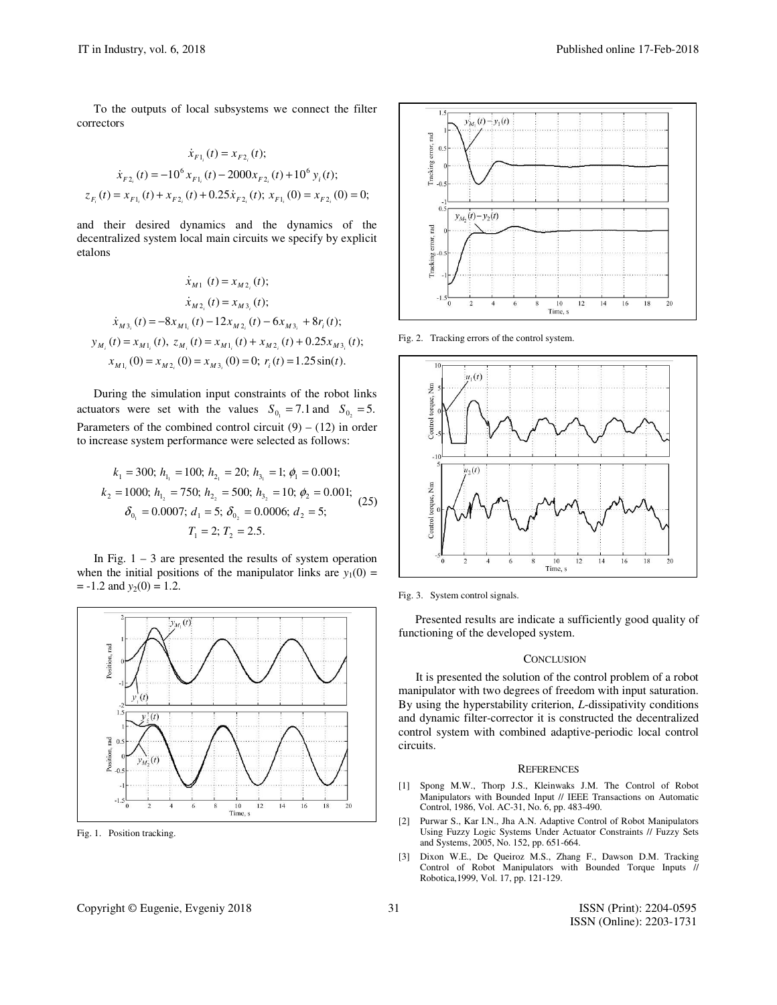To the outputs of local subsystems we connect the filter correctors

$$
\dot{x}_{F1_i}(t) = x_{F2_i}(t);
$$
\n
$$
\dot{x}_{F2_i}(t) = -10^6 x_{F1_i}(t) - 2000 x_{F2_i}(t) + 10^6 y_i(t);
$$
\n
$$
z_{F_i}(t) = x_{F1_i}(t) + x_{F2_i}(t) + 0.25 \dot{x}_{F2_i}(t); x_{F1_i}(0) = x_{F2_i}(0) = 0;
$$

and their desired dynamics and the dynamics of the decentralized system local main circuits we specify by explicit etalons

$$
\dot{x}_{M1}(t) = x_{M2_i}(t);
$$
\n
$$
\dot{x}_{M2_i}(t) = x_{M3_i}(t);
$$
\n
$$
\dot{x}_{M3_i}(t) = -8x_{M1_i}(t) - 12x_{M2_i}(t) - 6x_{M3_i} + 8r_i(t);
$$
\n
$$
y_{M_i}(t) = x_{M1_i}(t), \ z_{M_i}(t) = x_{M1_i}(t) + x_{M2_i}(t) + 0.25x_{M3_i}(t);
$$
\n
$$
x_{M1_i}(0) = x_{M2_i}(0) = x_{M3_i}(0) = 0; \ r_i(t) = 1.25\sin(t).
$$

During the simulation input constraints of the robot links actuators were set with the values  $S_{0_1} = 7.1$  and  $S_{0_2} = 5$ . Parameters of the combined control circuit  $(9) - (12)$  in order to increase system performance were selected as follows:

$$
k_1 = 300; h_{1_1} = 100; h_{2_1} = 20; h_{3_1} = 1; \phi_1 = 0.001; \nk_2 = 1000; h_{1_2} = 750; h_{2_2} = 500; h_{3_2} = 10; \phi_2 = 0.001; \n\delta_{0_1} = 0.0007; d_1 = 5; \delta_{0_2} = 0.0006; d_2 = 5; \nT_1 = 2; T_2 = 2.5.
$$
\n(25)

In Fig.  $1 - 3$  are presented the results of system operation when the initial positions of the manipulator links are  $y_1(0)$  =  $= -1.2$  and  $y_2(0) = 1.2$ .



Fig. 1. Position tracking.

# Copyright © Eugenie, Evgeniy 2018 31 ISSN (Print): 2204-0595



Fig. 2. Tracking errors of the control system.



Fig. 3. System control signals.

Presented results are indicate a sufficiently good quality of functioning of the developed system.

#### **CONCLUSION**

It is presented the solution of the control problem of a robot manipulator with two degrees of freedom with input saturation. By using the hyperstability criterion, *L*-dissipativity conditions and dynamic filter-corrector it is constructed the decentralized control system with combined adaptive-periodic local control circuits.

### **REFERENCES**

- [1] Spong M.W., Thorp J.S., Kleinwaks J.M. The Control of Robot Manipulators with Bounded Input // IEEE Transactions on Automatic Control, 1986, Vol. AC-31, No. 6, pp. 483-490.
- [2] Purwar S., Kar I.N., Jha A.N. Adaptive Control of Robot Manipulators Using Fuzzy Logic Systems Under Actuator Constraints // Fuzzy Sets and Systems, 2005, No. 152, pp. 651-664.
- [3] Dixon W.E., De Queiroz M.S., Zhang F., Dawson D.M. Tracking Control of Robot Manipulators with Bounded Torque Inputs // Robotica,1999, Vol. 17, pp. 121-129.